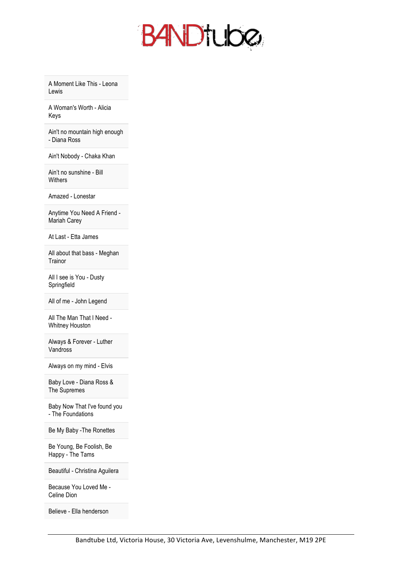

A Moment Like This - Leona Lewis

A Woman's Worth - Alicia Keys

Ain't no mountain high enough - Diana Ross

Ain't Nobody - Chaka Khan

Ain't no sunshine - Bill **Withers** 

Amazed - Lonestar

Anytime You Need A Friend - Mariah Carey

At Last - Etta James

All about that bass - Meghan **Trainor** 

All I see is You - Dusty Springfield

All of me - John Legend

All The Man That I Need - Whitney Houston

Always & Forever - Luther Vandross

Always on my mind - Elvis

Baby Love - Diana Ross & The Supremes

Baby Now That I've found you - The Foundations

Be My Baby -The Ronettes

Be Young, Be Foolish, Be Happy - The Tams

Beautiful - Christina Aguilera

Because You Loved Me - Celine Dion

Believe - Ella henderson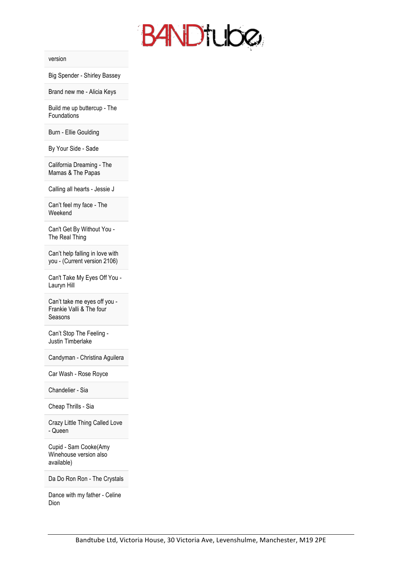

version

Big Spender - Shirley Bassey

Brand new me - Alicia Keys

Build me up buttercup - The Foundations

Burn - Ellie Goulding

By Your Side - Sade

California Dreaming - The Mamas & The Papas

Calling all hearts - Jessie J

Can't feel my face - The Weekend

Can't Get By Without You - The Real Thing

Can't help falling in love with you - (Current version 2106)

Can't Take My Eyes Off You - Lauryn Hill

Can't take me eyes off you - Frankie Valli & The four Seasons

Can't Stop The Feeling - Justin Timberlake

Candyman - Christina Aguilera

Car Wash - Rose Royce

Chandelier - Sia

Cheap Thrills - Sia

Crazy Little Thing Called Love - Queen

Cupid - Sam Cooke(Amy Winehouse version also available)

Da Do Ron Ron - The Crystals

Dance with my father - Celine Dion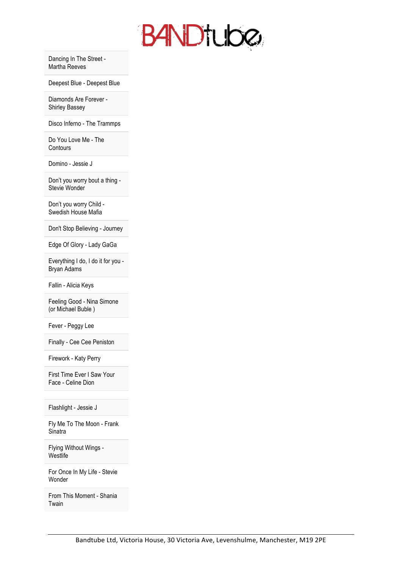

Dancing In The Street - Martha Reeves

Deepest Blue - Deepest Blue

Diamonds Are Forever - Shirley Bassey

Disco Inferno - The Trammps

Do You Love Me - The **Contours** 

Domino - Jessie J

Don't you worry bout a thing - Stevie Wonder

Don't you worry Child - Swedish House Mafia

Don't Stop Believing - Journey

Edge Of Glory - Lady GaGa

Everything I do, I do it for you - Bryan Adams

Fallin - Alicia Keys

Feeling Good - Nina Simone (or Michael Buble )

Fever - Peggy Lee

Finally - Cee Cee Peniston

Firework - Katy Perry

First Time Ever I Saw Your Face - Celine Dion

Flashlight - Jessie J

Fly Me To The Moon - Frank **Sinatra** 

Flying Without Wings - **Westlife** 

For Once In My Life - Stevie Wonder

From This Moment - Shania Twain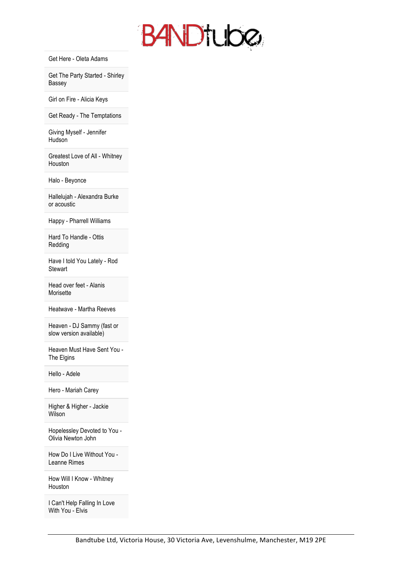

Get Here - Oleta Adams

Get The Party Started - Shirley Bassey

Girl on Fire - Alicia Keys

Get Ready - The Temptations

Giving Myself - Jennifer **Hudson** 

Greatest Love of All - Whitney Houston

Halo - Beyonce

Hallelujah - Alexandra Burke or acoustic

Happy - Pharrell Williams

Hard To Handle - Ottis Redding

Have I told You Lately - Rod **Stewart** 

Head over feet - Alanis Morisette

Heatwave - Martha Reeves

Heaven - DJ Sammy (fast or slow version available)

Heaven Must Have Sent You - The Elgins

Hello - Adele

Hero - Mariah Carey

Higher & Higher - Jackie Wilson

Hopelessley Devoted to You - Olivia Newton John

How Do I Live Without You - Leanne Rimes

How Will I Know - Whitney Houston

I Can't Help Falling In Love With You - Elvis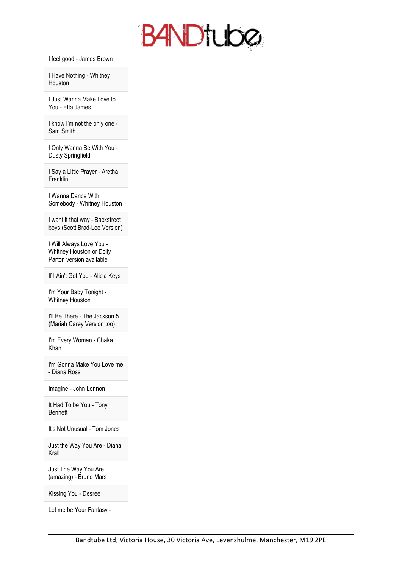

I feel good - James Brown

I Have Nothing - Whitney Houston

I Just Wanna Make Love to You - Etta James

I know I'm not the only one - Sam Smith

I Only Wanna Be With You - Dusty Springfield

I Say a Little Prayer - Aretha Franklin

I Wanna Dance With Somebody - Whitney Houston

I want it that way - Backstreet boys (Scott Brad-Lee Version)

I Will Always Love You - Whitney Houston or Dolly Parton version available

If I Ain't Got You - Alicia Keys

I'm Your Baby Tonight - Whitney Houston

I'll Be There - The Jackson 5 (Mariah Carey Version too)

I'm Every Woman - Chaka Khan

I'm Gonna Make You Love me - Diana Ross

Imagine - John Lennon

It Had To be You - Tony Bennett

It's Not Unusual - Tom Jones

Just the Way You Are - Diana Krall

Just The Way You Are (amazing) - Bruno Mars

Kissing You - Desree

Let me be Your Fantasy -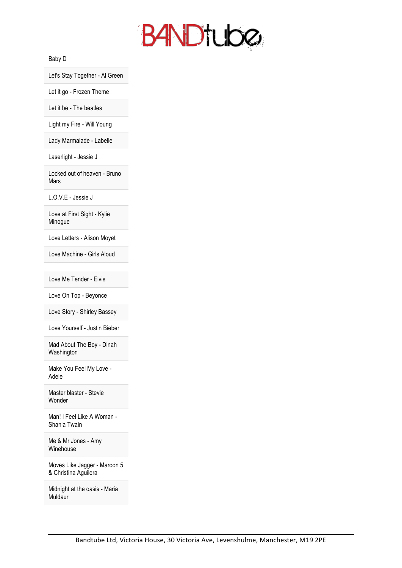

Baby D

Let's Stay Together - Al Green

Let it go - Frozen Theme

Let it be - The beatles

Light my Fire - Will Young

Lady Marmalade - Labelle

Laserlight - Jessie J

Locked out of heaven - Bruno Mars

L.O.V.E - Jessie J

Love at First Sight - Kylie Minogue

Love Letters - Alison Moyet

Love Machine - Girls Aloud

Love Me Tender - Elvis

Love On Top - Beyonce

Love Story - Shirley Bassey

Love Yourself - Justin Bieber

Mad About The Boy - Dinah Washington

Make You Feel My Love - Adele

Master blaster - Stevie Wonder

Man! I Feel Like A Woman - Shania Twain

Me & Mr Jones - Amy Winehouse

Moves Like Jagger - Maroon 5 & Christina Aguilera

Midnight at the oasis - Maria Muldaur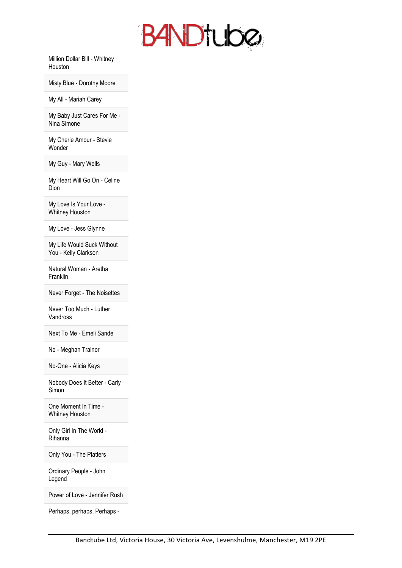

Million Dollar Bill - Whitney Houston

Misty Blue - Dorothy Moore

My All - Mariah Carey

My Baby Just Cares For Me - Nina Simone

My Cherie Amour - Stevie Wonder

My Guy - Mary Wells

My Heart Will Go On - Celine Dion

My Love Is Your Love - Whitney Houston

My Love - Jess Glynne

My Life Would Suck Without You - Kelly Clarkson

Natural Woman - Aretha Franklin

Never Forget - The Noisettes

Never Too Much - Luther Vandross

Next To Me - Emeli Sande

No - Meghan Trainor

No-One - Alicia Keys

Nobody Does It Better - Carly Simon

One Moment In Time - Whitney Houston

Only Girl In The World - Rihanna

Only You - The Platters

Ordinary People - John **Legend** 

Power of Love - Jennifer Rush

Perhaps, perhaps, Perhaps -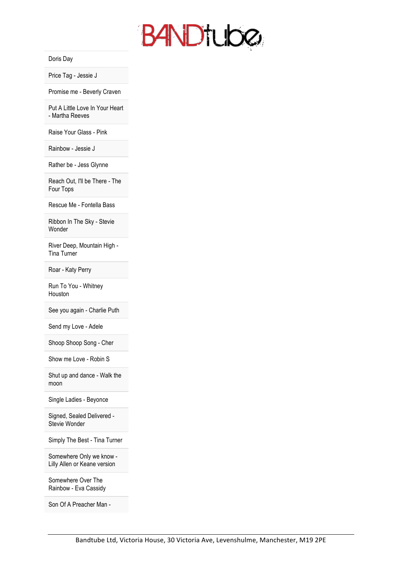

## Doris Day

Price Tag - Jessie J

Promise me - Beverly Craven

Put A Little Love In Your Heart - Martha Reeves

Raise Your Glass - Pink

Rainbow - Jessie J

Rather be - Jess Glynne

Reach Out, I'll be There - The Four Tops

Rescue Me - Fontella Bass

Ribbon In The Sky - Stevie Wonder

River Deep, Mountain High - Tina Turner

Roar - Katy Perry

Run To You - Whitney Houston

See you again - Charlie Puth

Send my Love - Adele

Shoop Shoop Song - Cher

Show me Love - Robin S

Shut up and dance - Walk the moon

Single Ladies - Beyonce

Signed, Sealed Delivered - Stevie Wonder

Simply The Best - Tina Turner

Somewhere Only we know - Lilly Allen or Keane version

Somewhere Over The Rainbow - Eva Cassidy

Son Of A Preacher Man -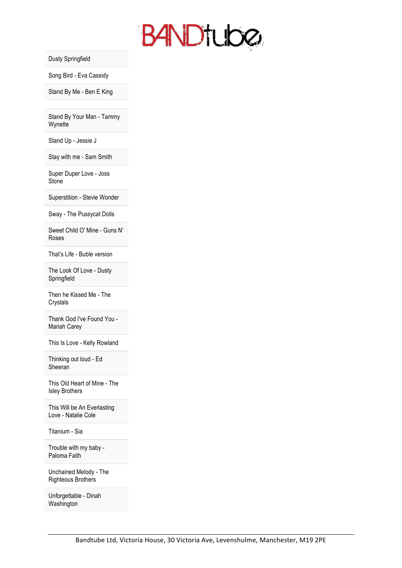

Dusty Springfield

Song Bird - Eva Cassidy

Stand By Me - Ben E King

Stand By Your Man - Tammy **Wynette** 

Stand Up - Jessie J

Stay with me - Sam Smith

Super Duper Love - Joss **Stone** 

Superstition - Stevie Wonder

Sway - The Pussycat Dolls

Sweet Child O' Mine - Guns N' Roses

That's Life - Buble version

The Look Of Love - Dusty Springfield

Then he Kissed Me - The Crystals

Thank God I've Found You - Mariah Carey

This Is Love - Kelly Rowland

Thinking out loud - Ed Sheeran

This Old Heart of Mine - The Isley Brothers

This Will be An Everlasting Love - Natalie Cole

Titanium - Sia

Trouble with my baby - Paloma Faith

Unchained Melody - The Righteous Brothers

Unforgettable - Dinah Washington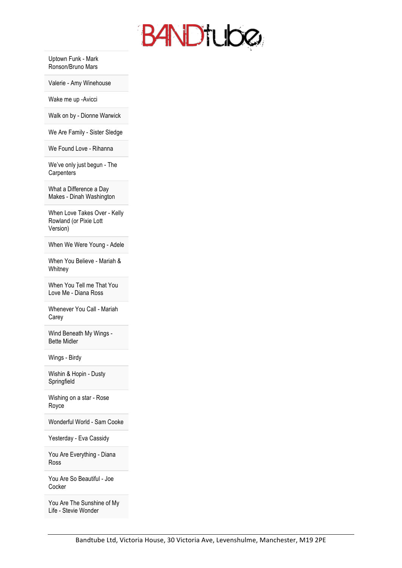

Uptown Funk - Mark Ronson/Bruno Mars

Valerie - Amy Winehouse

Wake me up -Avicci

Walk on by - Dionne Warwick

We Are Family - Sister Sledge

We Found Love - Rihanna

We've only just begun - The **Carpenters** 

What a Difference a Day Makes - Dinah Washington

When Love Takes Over - Kelly Rowland (or Pixie Lott Version)

When We Were Young - Adele

When You Believe - Mariah & **Whitney** 

When You Tell me That You Love Me - Diana Ross

Whenever You Call - Mariah Carey

Wind Beneath My Wings - Bette Midler

Wings - Birdy

Wishin & Hopin - Dusty Springfield

Wishing on a star - Rose Royce

Wonderful World - Sam Cooke

Yesterday - Eva Cassidy

You Are Everything - Diana Ross

You Are So Beautiful - Joe **Cocker** 

You Are The Sunshine of My Life - Stevie Wonder